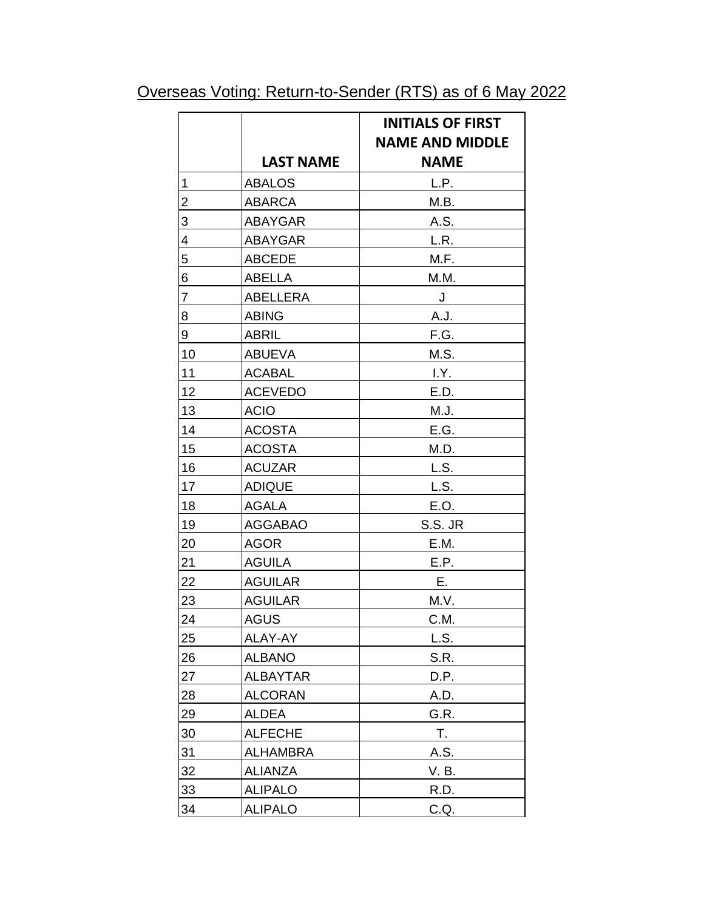| Overseas Voting: Return-to-Sender (RTS) as of 6 May 2022 |
|----------------------------------------------------------|
|----------------------------------------------------------|

|                         |                  | <b>INITIALS OF FIRST</b><br><b>NAME AND MIDDLE</b> |
|-------------------------|------------------|----------------------------------------------------|
|                         |                  |                                                    |
|                         | <b>LAST NAME</b> | <b>NAME</b>                                        |
| 1                       | <b>ABALOS</b>    | L.P.                                               |
| 2                       | <b>ABARCA</b>    | M.B.                                               |
| 3                       | <b>ABAYGAR</b>   | A.S.                                               |
| $\overline{\mathbf{4}}$ | <b>ABAYGAR</b>   | L.R.                                               |
| 5                       | <b>ABCEDE</b>    | M.F.                                               |
| 6                       | <b>ABELLA</b>    | M.M.                                               |
| $\overline{7}$          | <b>ABELLERA</b>  | $\bigcup$                                          |
| 8                       | <b>ABING</b>     | A.J.                                               |
| 9                       | <b>ABRIL</b>     | F.G.                                               |
| 10                      | <b>ABUEVA</b>    | M.S.                                               |
| 11                      | <b>ACABAL</b>    | I.Y.                                               |
| 12                      | <b>ACEVEDO</b>   | E.D.                                               |
| 13                      | <b>ACIO</b>      | M.J.                                               |
| 14                      | <b>ACOSTA</b>    | E.G.                                               |
| 15                      | <b>ACOSTA</b>    | M.D.                                               |
| 16                      | <b>ACUZAR</b>    | L.S.                                               |
| 17                      | <b>ADIQUE</b>    | L.S.                                               |
| 18                      | AGALA            | E.O.                                               |
| 19                      | <b>AGGABAO</b>   | S.S. JR                                            |
| 20                      | <b>AGOR</b>      | E.M.                                               |
| 21                      | <b>AGUILA</b>    | E.P.                                               |
| 22                      | <b>AGUILAR</b>   | Ε.                                                 |
| 23                      | <b>AGUILAR</b>   | M.V.                                               |
| 24                      | <b>AGUS</b>      | C.M.                                               |
| 25                      | ALAY-AY          | L.S.                                               |
| 26                      | <b>ALBANO</b>    | S.R.                                               |
| 27                      | <b>ALBAYTAR</b>  | D.P.                                               |
| 28                      | <b>ALCORAN</b>   | A.D.                                               |
| 29                      | <b>ALDEA</b>     | G.R.                                               |
| 30                      | <b>ALFECHE</b>   | Τ.                                                 |
| 31                      | <b>ALHAMBRA</b>  | A.S.                                               |
| 32                      | <b>ALIANZA</b>   | V. B.                                              |
| 33                      | <b>ALIPALO</b>   | R.D.                                               |
| 34                      | <b>ALIPALO</b>   | C.Q.                                               |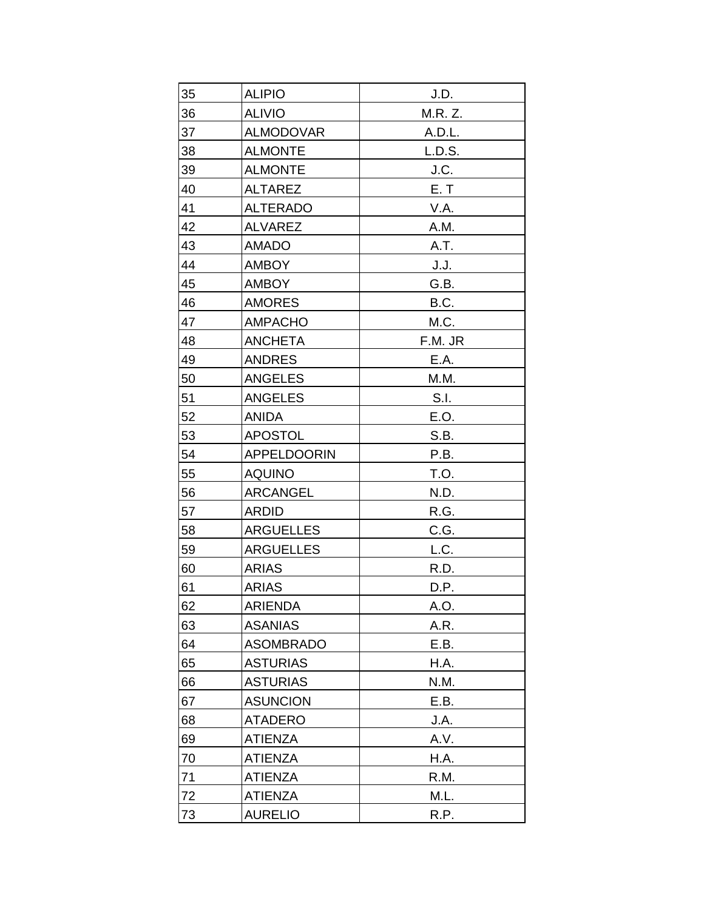| 35 | <b>ALIPIO</b>      | J.D.    |
|----|--------------------|---------|
| 36 | <b>ALIVIO</b>      | M.R. Z. |
| 37 | <b>ALMODOVAR</b>   | A.D.L.  |
| 38 | <b>ALMONTE</b>     | L.D.S.  |
| 39 | <b>ALMONTE</b>     | J.C.    |
| 40 | <b>ALTAREZ</b>     | E. T    |
| 41 | <b>ALTERADO</b>    | V.A.    |
| 42 | <b>ALVAREZ</b>     | A.M.    |
| 43 | <b>AMADO</b>       | A.T.    |
| 44 | <b>AMBOY</b>       | J.J.    |
| 45 | <b>AMBOY</b>       | G.B.    |
| 46 | <b>AMORES</b>      | B.C.    |
| 47 | <b>AMPACHO</b>     | M.C.    |
| 48 | <b>ANCHETA</b>     | F.M. JR |
| 49 | <b>ANDRES</b>      | E.A.    |
| 50 | <b>ANGELES</b>     | M.M.    |
| 51 | <b>ANGELES</b>     | S.I.    |
| 52 | <b>ANIDA</b>       | E.O.    |
| 53 | <b>APOSTOL</b>     | S.B.    |
| 54 | <b>APPELDOORIN</b> | P.B.    |
| 55 | <b>AQUINO</b>      | T.O.    |
| 56 | <b>ARCANGEL</b>    | N.D.    |
| 57 | <b>ARDID</b>       | R.G.    |
| 58 | <b>ARGUELLES</b>   | C.G.    |
| 59 | <b>ARGUELLES</b>   | L.C.    |
| 60 | <b>ARIAS</b>       | R.D.    |
| 61 | <b>ARIAS</b>       | D.P.    |
| 62 | <b>ARIENDA</b>     | A.O.    |
| 63 | <b>ASANIAS</b>     | A.R.    |
| 64 | <b>ASOMBRADO</b>   | E.B.    |
| 65 | <b>ASTURIAS</b>    | H.A.    |
| 66 | <b>ASTURIAS</b>    | N.M.    |
| 67 | <b>ASUNCION</b>    | E.B.    |
| 68 | <b>ATADERO</b>     | J.A.    |
| 69 | <b>ATIENZA</b>     | A.V.    |
| 70 | <b>ATIENZA</b>     | H.A.    |
| 71 | <b>ATIENZA</b>     | R.M.    |
| 72 | <b>ATIENZA</b>     | M.L.    |
| 73 | <b>AURELIO</b>     | R.P.    |
|    |                    |         |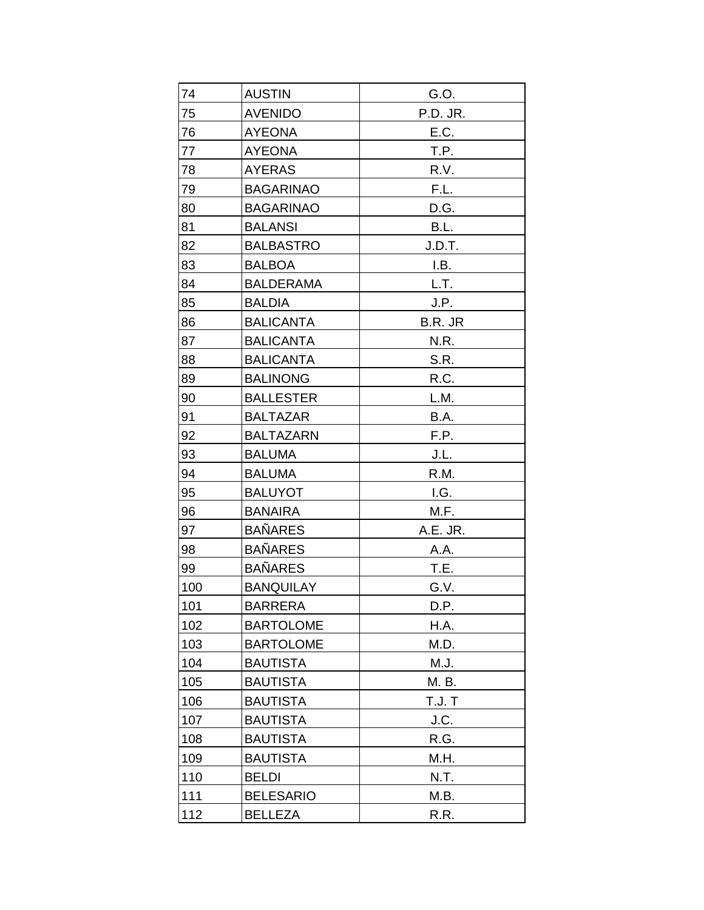| 74  | <b>AUSTIN</b>    | G.O.          |
|-----|------------------|---------------|
| 75  | <b>AVENIDO</b>   | P.D. JR.      |
| 76  | <b>AYEONA</b>    | E.C.          |
| 77  | <b>AYEONA</b>    | T.P.          |
| 78  | <b>AYERAS</b>    | R.V.          |
| 79  | <b>BAGARINAO</b> | F.L.          |
| 80  | <b>BAGARINAO</b> | D.G.          |
| 81  | <b>BALANSI</b>   | B.L.          |
| 82  | <b>BALBASTRO</b> | J.D.T.        |
| 83  | <b>BALBOA</b>    | I.B.          |
| 84  | <b>BALDERAMA</b> | L.T.          |
| 85  | <b>BALDIA</b>    | J.P.          |
| 86  | <b>BALICANTA</b> | B.R. JR       |
| 87  | <b>BALICANTA</b> | N.R.          |
| 88  | <b>BALICANTA</b> | S.R.          |
| 89  | <b>BALINONG</b>  | R.C.          |
| 90  | <b>BALLESTER</b> | L.M.          |
| 91  | <b>BALTAZAR</b>  | B.A.          |
| 92  | <b>BALTAZARN</b> | F.P.          |
| 93  | <b>BALUMA</b>    | J.L.          |
| 94  | <b>BALUMA</b>    | R.M.          |
| 95  | <b>BALUYOT</b>   | I.G.          |
| 96  | <b>BANAIRA</b>   | M.F.          |
| 97  | <b>BAÑARES</b>   | A.E. JR.      |
| 98  | <b>BAÑARES</b>   | A.A.          |
| 99  | <b>BAÑARES</b>   | T.E.          |
| 100 | <b>BANQUILAY</b> | G.V.          |
| 101 | <b>BARRERA</b>   | D.P.          |
| 102 | <b>BARTOLOME</b> | H.A.          |
| 103 | <b>BARTOLOME</b> | M.D.          |
| 104 | <b>BAUTISTA</b>  | M.J.          |
| 105 | <b>BAUTISTA</b>  | M. B.         |
| 106 | <b>BAUTISTA</b>  | <b>T.J. T</b> |
| 107 | <b>BAUTISTA</b>  | J.C.          |
| 108 | <b>BAUTISTA</b>  | R.G.          |
| 109 | <b>BAUTISTA</b>  | M.H.          |
| 110 | <b>BELDI</b>     | N.T.          |
| 111 | <b>BELESARIO</b> | M.B.          |
| 112 | <b>BELLEZA</b>   | R.R.          |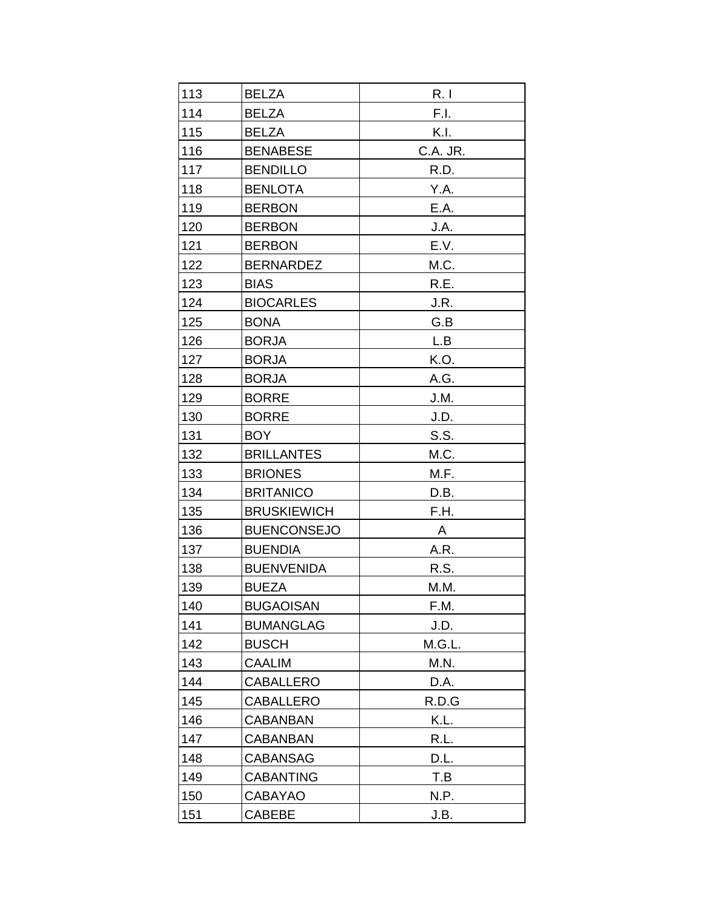| 113 | <b>BELZA</b>       | R.1      |
|-----|--------------------|----------|
| 114 | <b>BELZA</b>       | F.I.     |
| 115 | <b>BELZA</b>       | K.I.     |
| 116 | <b>BENABESE</b>    | C.A. JR. |
| 117 | <b>BENDILLO</b>    | R.D.     |
| 118 | <b>BENLOTA</b>     | Y.A.     |
| 119 | <b>BERBON</b>      | E.A.     |
| 120 | <b>BERBON</b>      | J.A.     |
| 121 | <b>BERBON</b>      | E.V.     |
| 122 | <b>BERNARDEZ</b>   | M.C.     |
| 123 | <b>BIAS</b>        | R.E.     |
| 124 | <b>BIOCARLES</b>   | J.R.     |
| 125 | <b>BONA</b>        | G.B      |
| 126 | <b>BORJA</b>       | L.B      |
| 127 | <b>BORJA</b>       | K.O.     |
| 128 | <b>BORJA</b>       | A.G.     |
| 129 | <b>BORRE</b>       | J.M.     |
| 130 | <b>BORRE</b>       | J.D.     |
| 131 | BOY                | S.S.     |
| 132 | <b>BRILLANTES</b>  | M.C.     |
| 133 | <b>BRIONES</b>     | M.F.     |
| 134 | <b>BRITANICO</b>   | D.B.     |
| 135 | <b>BRUSKIEWICH</b> | F.H.     |
| 136 | <b>BUENCONSEJO</b> | A        |
| 137 | <b>BUENDIA</b>     | A.R.     |
| 138 | <b>BUENVENIDA</b>  | R.S.     |
| 139 | <b>BUEZA</b>       | M.M.     |
| 140 | <b>BUGAOISAN</b>   | F.M.     |
| 141 | <b>BUMANGLAG</b>   | J.D.     |
| 142 | <b>BUSCH</b>       | M.G.L.   |
| 143 | <b>CAALIM</b>      | M.N.     |
| 144 | <b>CABALLERO</b>   | D.A.     |
| 145 | <b>CABALLERO</b>   | R.D.G    |
| 146 | <b>CABANBAN</b>    | K.L.     |
| 147 | <b>CABANBAN</b>    | R.L.     |
| 148 | <b>CABANSAG</b>    | D.L.     |
| 149 | <b>CABANTING</b>   | T.B      |
| 150 | <b>CABAYAO</b>     | N.P.     |
| 151 | <b>CABEBE</b>      | J.B.     |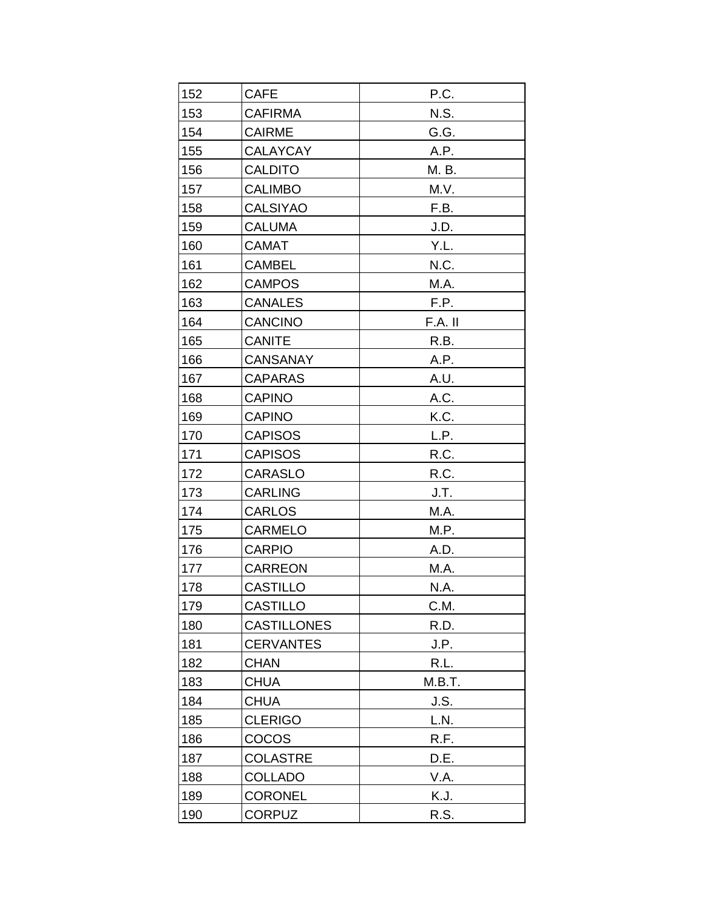| 152 | <b>CAFE</b>        | P.C.    |
|-----|--------------------|---------|
| 153 | <b>CAFIRMA</b>     | N.S.    |
| 154 | <b>CAIRME</b>      | G.G.    |
| 155 | <b>CALAYCAY</b>    | A.P.    |
| 156 | <b>CALDITO</b>     | M. B.   |
| 157 | <b>CALIMBO</b>     | M.V.    |
| 158 | <b>CALSIYAO</b>    | F.B.    |
| 159 | <b>CALUMA</b>      | J.D.    |
| 160 | <b>CAMAT</b>       | Y.L.    |
| 161 | <b>CAMBEL</b>      | N.C.    |
| 162 | <b>CAMPOS</b>      | M.A.    |
| 163 | <b>CANALES</b>     | F.P.    |
| 164 | <b>CANCINO</b>     | F.A. II |
| 165 | <b>CANITE</b>      | R.B.    |
| 166 | <b>CANSANAY</b>    | A.P.    |
| 167 | <b>CAPARAS</b>     | A.U.    |
| 168 | <b>CAPINO</b>      | A.C.    |
| 169 | <b>CAPINO</b>      | K.C.    |
| 170 | <b>CAPISOS</b>     | L.P.    |
| 171 | <b>CAPISOS</b>     | R.C.    |
| 172 | <b>CARASLO</b>     | R.C.    |
| 173 | <b>CARLING</b>     | J.T.    |
| 174 | <b>CARLOS</b>      | M.A.    |
| 175 | <b>CARMELO</b>     | M.P.    |
| 176 | <b>CARPIO</b>      | A.D.    |
| 177 | CARREON            | M.A.    |
| 178 | <b>CASTILLO</b>    | N.A.    |
| 179 | <b>CASTILLO</b>    | C.M.    |
| 180 | <b>CASTILLONES</b> | R.D.    |
| 181 | <b>CERVANTES</b>   | J.P.    |
| 182 | <b>CHAN</b>        | R.L.    |
| 183 | <b>CHUA</b>        | M.B.T.  |
| 184 | <b>CHUA</b>        | J.S.    |
| 185 | <b>CLERIGO</b>     | L.N.    |
| 186 | COCOS              | R.F.    |
| 187 | <b>COLASTRE</b>    | D.E.    |
| 188 | <b>COLLADO</b>     | V.A.    |
| 189 | <b>CORONEL</b>     | K.J.    |
| 190 | <b>CORPUZ</b>      | R.S.    |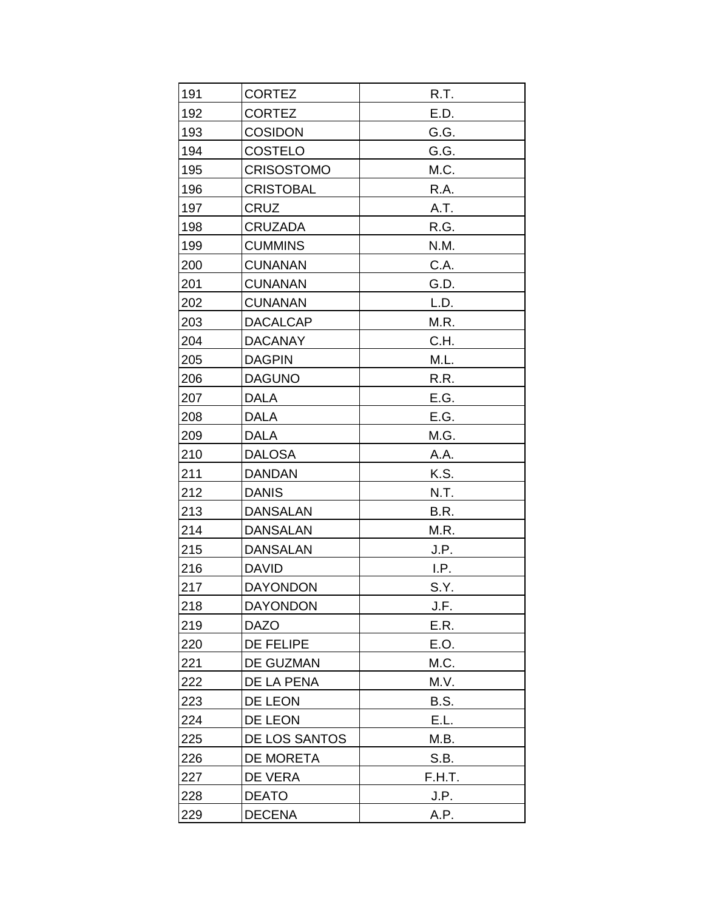| 191 | <b>CORTEZ</b>     | R.T.        |
|-----|-------------------|-------------|
| 192 | <b>CORTEZ</b>     | E.D.        |
| 193 | <b>COSIDON</b>    | G.G.        |
| 194 | COSTELO           | G.G.        |
| 195 | <b>CRISOSTOMO</b> | M.C.        |
| 196 | <b>CRISTOBAL</b>  | R.A.        |
| 197 | CRUZ              | A.T.        |
| 198 | <b>CRUZADA</b>    | R.G.        |
| 199 | <b>CUMMINS</b>    | N.M.        |
| 200 | <b>CUNANAN</b>    | C.A.        |
| 201 | <b>CUNANAN</b>    | G.D.        |
| 202 | <b>CUNANAN</b>    | L.D.        |
| 203 | <b>DACALCAP</b>   | M.R.        |
| 204 | <b>DACANAY</b>    | C.H.        |
| 205 | <b>DAGPIN</b>     | M.L.        |
| 206 | <b>DAGUNO</b>     | R.R.        |
| 207 | <b>DALA</b>       | E.G.        |
| 208 | <b>DALA</b>       | E.G.        |
| 209 | <b>DALA</b>       | M.G.        |
| 210 | <b>DALOSA</b>     | A.A.        |
| 211 | <b>DANDAN</b>     | K.S.        |
| 212 | <b>DANIS</b>      | N.T.        |
| 213 | <b>DANSALAN</b>   | B.R.        |
| 214 | <b>DANSALAN</b>   | M.R.        |
| 215 | <b>DANSALAN</b>   | J.P.        |
| 216 | <b>DAVID</b>      | I.P.        |
| 217 | <b>DAYONDON</b>   | S.Y.        |
| 218 | <b>DAYONDON</b>   | J.F.        |
| 219 | <b>DAZO</b>       | E.R.        |
| 220 | DE FELIPE         | E.O.        |
| 221 | DE GUZMAN         | M.C.        |
| 222 | DE LA PENA        | M.V.        |
| 223 | DE LEON           | <b>B.S.</b> |
| 224 | DE LEON           | E.L.        |
| 225 | DE LOS SANTOS     | M.B.        |
| 226 | DE MORETA         | S.B.        |
| 227 | DE VERA           | F.H.T.      |
| 228 | <b>DEATO</b>      | J.P.        |
| 229 | <b>DECENA</b>     | A.P.        |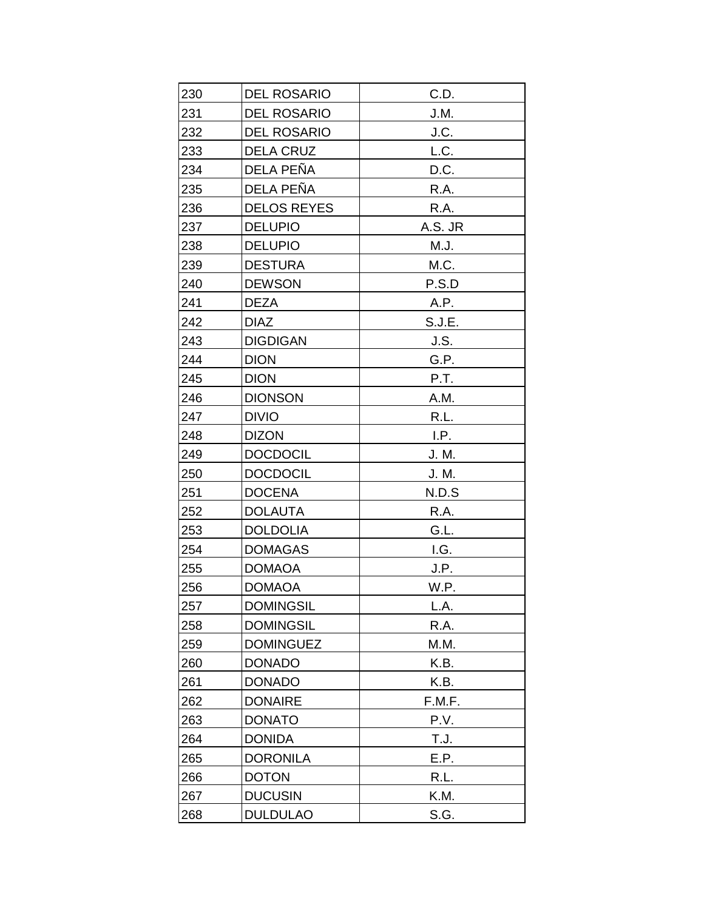| 230 | <b>DEL ROSARIO</b> | C.D.    |
|-----|--------------------|---------|
| 231 | <b>DEL ROSARIO</b> | J.M.    |
| 232 | <b>DEL ROSARIO</b> | J.C.    |
| 233 | <b>DELA CRUZ</b>   | L.C.    |
| 234 | DELA PEÑA          | D.C.    |
| 235 | DELA PEÑA          | R.A.    |
| 236 | <b>DELOS REYES</b> | R.A.    |
| 237 | <b>DELUPIO</b>     | A.S. JR |
| 238 | <b>DELUPIO</b>     | M.J.    |
| 239 | <b>DESTURA</b>     | M.C.    |
| 240 | <b>DEWSON</b>      | P.S.D   |
| 241 | <b>DEZA</b>        | A.P.    |
| 242 | <b>DIAZ</b>        | S.J.E.  |
| 243 | <b>DIGDIGAN</b>    | J.S.    |
| 244 | <b>DION</b>        | G.P.    |
| 245 | <b>DION</b>        | P.T.    |
| 246 | <b>DIONSON</b>     | A.M.    |
| 247 | <b>DIVIO</b>       | R.L.    |
| 248 | <b>DIZON</b>       | I.P.    |
| 249 | <b>DOCDOCIL</b>    | J. M.   |
| 250 | <b>DOCDOCIL</b>    | J. M.   |
| 251 | <b>DOCENA</b>      | N.D.S   |
| 252 | <b>DOLAUTA</b>     | R.A.    |
| 253 | <b>DOLDOLIA</b>    | G.L.    |
| 254 | <b>DOMAGAS</b>     | I.G.    |
| 255 | <b>DOMAOA</b>      | J.P.    |
| 256 | <b>DOMAOA</b>      | W.P.    |
| 257 | <b>DOMINGSIL</b>   | L.A.    |
| 258 | <b>DOMINGSIL</b>   | R.A.    |
| 259 | <b>DOMINGUEZ</b>   | M.M.    |
| 260 | <b>DONADO</b>      | K.B.    |
| 261 | <b>DONADO</b>      | K.B.    |
| 262 | <b>DONAIRE</b>     | F.M.F.  |
| 263 | <b>DONATO</b>      | P.V.    |
| 264 | <b>DONIDA</b>      | T.J.    |
| 265 | <b>DORONILA</b>    | E.P.    |
| 266 | <b>DOTON</b>       | R.L.    |
| 267 | <b>DUCUSIN</b>     | K.M.    |
| 268 | <b>DULDULAO</b>    | S.G.    |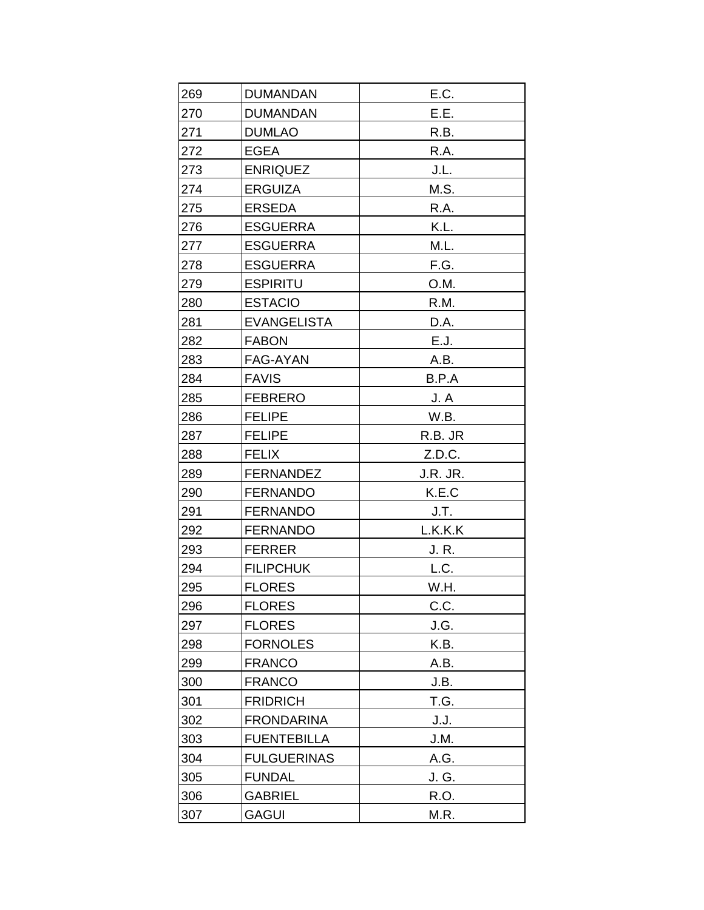| 269 | <b>DUMANDAN</b>    | E.C.     |
|-----|--------------------|----------|
| 270 | <b>DUMANDAN</b>    | E.E.     |
| 271 | <b>DUMLAO</b>      | R.B.     |
| 272 | <b>EGEA</b>        | R.A.     |
| 273 | <b>ENRIQUEZ</b>    | J.L.     |
| 274 | <b>ERGUIZA</b>     | M.S.     |
| 275 | <b>ERSEDA</b>      | R.A.     |
| 276 | <b>ESGUERRA</b>    | K.L.     |
| 277 | <b>ESGUERRA</b>    | M.L.     |
| 278 | <b>ESGUERRA</b>    | F.G.     |
| 279 | <b>ESPIRITU</b>    | O.M.     |
| 280 | <b>ESTACIO</b>     | R.M.     |
| 281 | <b>EVANGELISTA</b> | D.A.     |
| 282 | <b>FABON</b>       | E.J.     |
| 283 | FAG-AYAN           | A.B.     |
| 284 | <b>FAVIS</b>       | B.P.A    |
| 285 | <b>FEBRERO</b>     | J.A      |
| 286 | <b>FELIPE</b>      | W.B.     |
| 287 | <b>FELIPE</b>      | R.B. JR  |
| 288 | <b>FELIX</b>       | Z.D.C.   |
| 289 | <b>FERNANDEZ</b>   | J.R. JR. |
| 290 | <b>FERNANDO</b>    | K.E.C    |
| 291 | <b>FERNANDO</b>    | J.T.     |
| 292 | <b>FERNANDO</b>    | L.K.K.K  |
| 293 | <b>FERRER</b>      | J. R.    |
| 294 | <b>FILIPCHUK</b>   | L.C.     |
| 295 | <b>FLORES</b>      | W.H.     |
| 296 | <b>FLORES</b>      | C.C.     |
| 297 | <b>FLORES</b>      | J.G.     |
| 298 | <b>FORNOLES</b>    | K.B.     |
| 299 | <b>FRANCO</b>      | A.B.     |
| 300 | <b>FRANCO</b>      | J.B.     |
| 301 | <b>FRIDRICH</b>    | T.G.     |
| 302 | <b>FRONDARINA</b>  | J.J.     |
| 303 | <b>FUENTEBILLA</b> | J.M.     |
| 304 | <b>FULGUERINAS</b> | A.G.     |
| 305 | <b>FUNDAL</b>      | J. G.    |
| 306 | <b>GABRIEL</b>     | R.O.     |
| 307 | <b>GAGUI</b>       | M.R.     |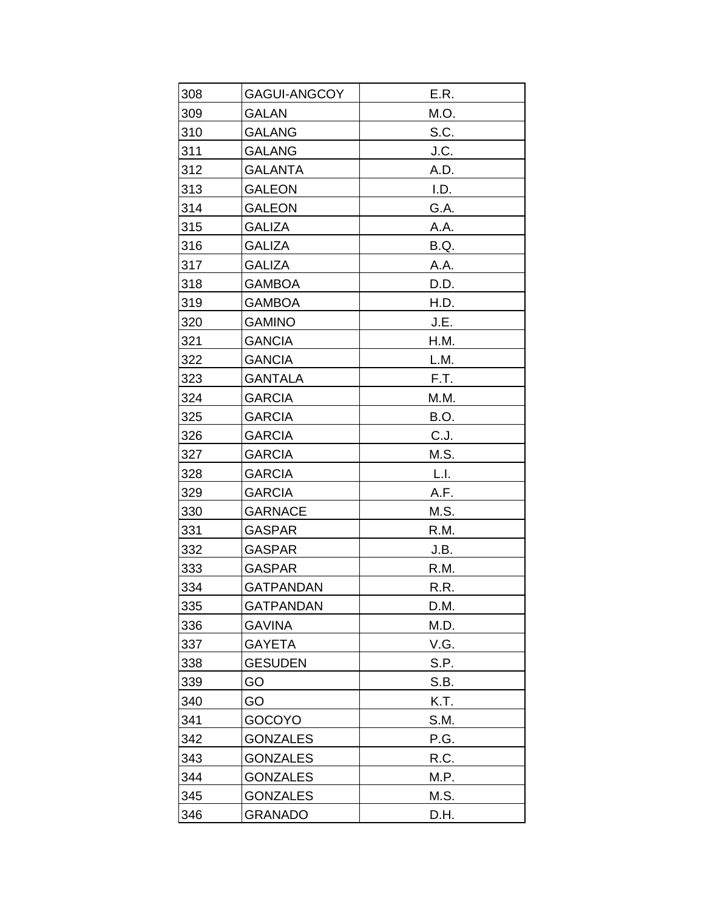| 308 | <b>GAGUI-ANGCOY</b> | E.R. |
|-----|---------------------|------|
| 309 | <b>GALAN</b>        | M.O. |
| 310 | <b>GALANG</b>       | S.C. |
| 311 | <b>GALANG</b>       | J.C. |
| 312 | <b>GALANTA</b>      | A.D. |
| 313 | <b>GALEON</b>       | I.D. |
| 314 | <b>GALEON</b>       | G.A. |
| 315 | <b>GALIZA</b>       | A.A. |
| 316 | <b>GALIZA</b>       | B.Q. |
| 317 | <b>GALIZA</b>       | A.A. |
| 318 | <b>GAMBOA</b>       | D.D. |
| 319 | <b>GAMBOA</b>       | H.D. |
| 320 | <b>GAMINO</b>       | J.E. |
| 321 | <b>GANCIA</b>       | H.M. |
| 322 | <b>GANCIA</b>       | L.M. |
| 323 | <b>GANTALA</b>      | F.T. |
| 324 | <b>GARCIA</b>       | M.M. |
| 325 | <b>GARCIA</b>       | B.O. |
| 326 | <b>GARCIA</b>       | C.J. |
| 327 | <b>GARCIA</b>       | M.S. |
| 328 | <b>GARCIA</b>       | L.I. |
| 329 | <b>GARCIA</b>       | A.F. |
| 330 | <b>GARNACE</b>      | M.S. |
| 331 | <b>GASPAR</b>       | R.M. |
| 332 | <b>GASPAR</b>       | J.B. |
| 333 | <b>GASPAR</b>       | R.M. |
| 334 | <b>GATPANDAN</b>    | R.R. |
| 335 | <b>GATPANDAN</b>    | D.M. |
| 336 | <b>GAVINA</b>       | M.D. |
| 337 | <b>GAYETA</b>       | V.G. |
| 338 | <b>GESUDEN</b>      | S.P. |
| 339 | GO                  | S.B. |
| 340 | GO                  | K.T. |
| 341 | <b>GOCOYO</b>       | S.M. |
| 342 | <b>GONZALES</b>     | P.G. |
| 343 | <b>GONZALES</b>     | R.C. |
| 344 | <b>GONZALES</b>     | M.P. |
| 345 | <b>GONZALES</b>     | M.S. |
| 346 | <b>GRANADO</b>      | D.H. |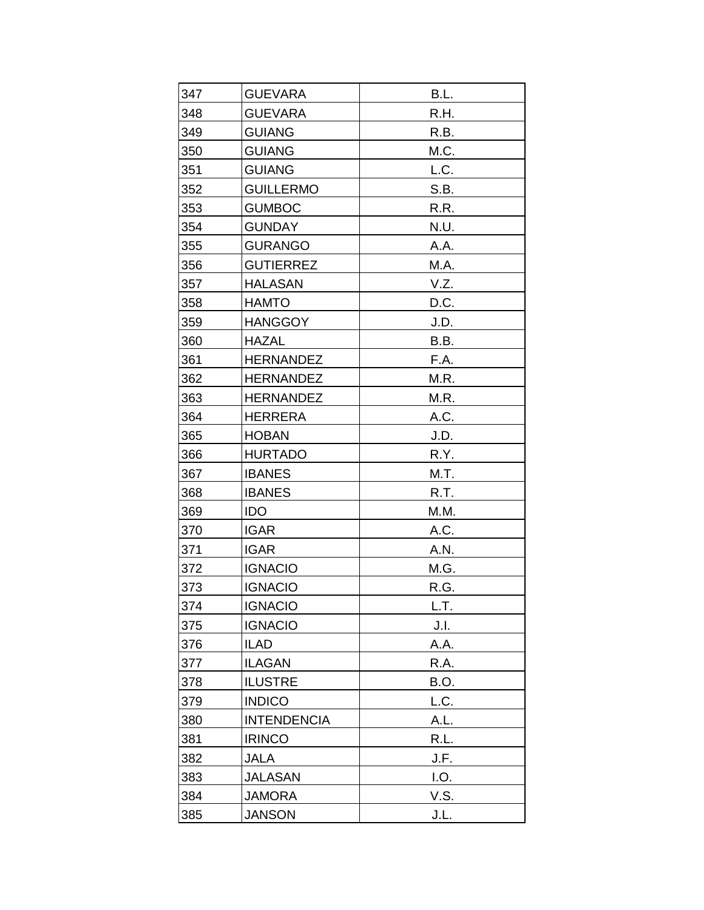| 347 | <b>GUEVARA</b>     | B.L. |
|-----|--------------------|------|
| 348 | <b>GUEVARA</b>     | R.H. |
| 349 | <b>GUIANG</b>      | R.B. |
| 350 | <b>GUIANG</b>      | M.C. |
| 351 | <b>GUIANG</b>      | L.C. |
| 352 | <b>GUILLERMO</b>   | S.B. |
| 353 | <b>GUMBOC</b>      | R.R. |
| 354 | <b>GUNDAY</b>      | N.U. |
| 355 | <b>GURANGO</b>     | A.A. |
| 356 | <b>GUTIERREZ</b>   | M.A. |
| 357 | <b>HALASAN</b>     | V.Z. |
| 358 | <b>HAMTO</b>       | D.C. |
| 359 | <b>HANGGOY</b>     | J.D. |
| 360 | <b>HAZAL</b>       | B.B. |
| 361 | <b>HERNANDEZ</b>   | F.A. |
| 362 | <b>HERNANDEZ</b>   | M.R. |
| 363 | <b>HERNANDEZ</b>   | M.R. |
| 364 | <b>HERRERA</b>     | A.C. |
| 365 | <b>HOBAN</b>       | J.D. |
| 366 | <b>HURTADO</b>     | R.Y. |
| 367 | <b>IBANES</b>      | M.T. |
| 368 | <b>IBANES</b>      | R.T. |
| 369 | <b>IDO</b>         | M.M. |
| 370 | <b>IGAR</b>        | A.C. |
| 371 | <b>IGAR</b>        | A.N. |
| 372 | <b>IGNACIO</b>     | M.G. |
| 373 | <b>IGNACIO</b>     | R.G. |
| 374 | <b>IGNACIO</b>     | L.T. |
| 375 | <b>IGNACIO</b>     | J.I. |
| 376 | <b>ILAD</b>        | A.A. |
| 377 | <b>ILAGAN</b>      | R.A. |
| 378 | <b>ILUSTRE</b>     | B.O. |
| 379 | <b>INDICO</b>      | L.C. |
| 380 | <b>INTENDENCIA</b> | A.L. |
| 381 | <b>IRINCO</b>      | R.L. |
| 382 | <b>JALA</b>        | J.F. |
| 383 | <b>JALASAN</b>     | I.O. |
| 384 | <b>JAMORA</b>      | V.S. |
| 385 | <b>JANSON</b>      | J.L. |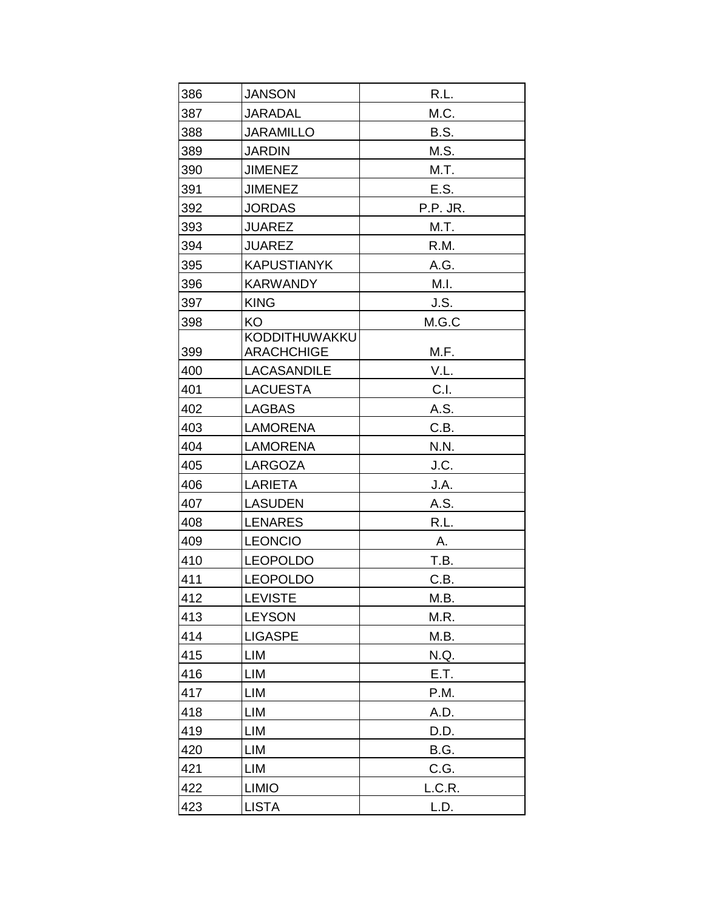| 386 | <b>JANSON</b>                      | R.L.        |
|-----|------------------------------------|-------------|
| 387 | <b>JARADAL</b>                     | M.C.        |
| 388 | <b>JARAMILLO</b>                   | <b>B.S.</b> |
| 389 | <b>JARDIN</b>                      | M.S.        |
| 390 | <b>JIMENEZ</b>                     | M.T.        |
| 391 | <b>JIMENEZ</b>                     | E.S.        |
| 392 | <b>JORDAS</b>                      | P.P. JR.    |
| 393 | <b>JUAREZ</b>                      | M.T.        |
| 394 | <b>JUAREZ</b>                      | R.M.        |
| 395 | <b>KAPUSTIANYK</b>                 | A.G.        |
| 396 | <b>KARWANDY</b>                    | M.I.        |
| 397 | <b>KING</b>                        | J.S.        |
| 398 | <b>KO</b>                          | M.G.C       |
| 399 | KODDITHUWAKKU<br><b>ARACHCHIGE</b> | M.F.        |
| 400 | <b>LACASANDILE</b>                 | V.L.        |
| 401 | <b>LACUESTA</b>                    | C.I.        |
| 402 | <b>LAGBAS</b>                      | A.S.        |
| 403 | <b>LAMORENA</b>                    | C.B.        |
| 404 | <b>LAMORENA</b>                    | N.N.        |
| 405 | LARGOZA                            | J.C.        |
| 406 | LARIETA                            | J.A.        |
| 407 | <b>LASUDEN</b>                     | A.S.        |
| 408 | <b>LENARES</b>                     | R.L.        |
| 409 | <b>LEONCIO</b>                     | Α.          |
| 410 | <b>LEOPOLDO</b>                    | T.B.        |
| 411 | <b>LEOPOLDO</b>                    | C.B.        |
| 412 | <b>LEVISTE</b>                     | M.B.        |
| 413 | <b>LEYSON</b>                      | M.R.        |
| 414 | <b>LIGASPE</b>                     | M.B.        |
| 415 | LIM                                | N.Q.        |
| 416 | LIM                                | E.T.        |
| 417 | LIM                                | P.M.        |
| 418 | LIM                                | A.D.        |
| 419 | LIM                                | D.D.        |
| 420 | LIM                                | B.G.        |
| 421 | LIM                                | C.G.        |
| 422 | <b>LIMIO</b>                       | L.C.R.      |
| 423 | <b>LISTA</b>                       | L.D.        |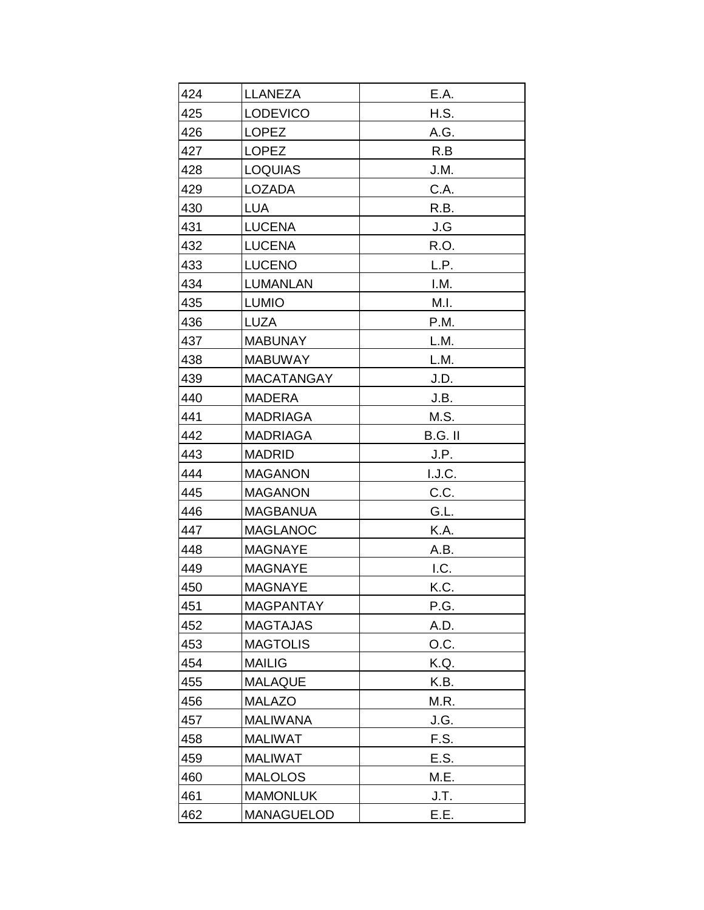| 424        | <b>LLANEZA</b>       | E.A.        |
|------------|----------------------|-------------|
| 425        | <b>LODEVICO</b>      | H.S.        |
| 426        | <b>LOPEZ</b>         | A.G.        |
| 427        | <b>LOPEZ</b>         | R.B         |
| 428        | <b>LOQUIAS</b>       | J.M.        |
| 429        |                      | C.A.        |
| 430        | LOZADA<br><b>LUA</b> | R.B.        |
|            | <b>LUCENA</b>        |             |
| 431<br>432 | <b>LUCENA</b>        | J.G<br>R.O. |
| 433        | LUCENO               | L.P.        |
| 434        | <b>LUMANLAN</b>      | I.M.        |
|            |                      |             |
| 435        | <b>LUMIO</b>         | M.I.        |
| 436        | <b>LUZA</b>          | P.M.        |
| 437        | <b>MABUNAY</b>       | L.M.        |
| 438        | <b>MABUWAY</b>       | L.M.        |
| 439        | <b>MACATANGAY</b>    | J.D.        |
| 440        | <b>MADERA</b>        | J.B.        |
| 441        | <b>MADRIAGA</b>      | M.S.        |
| 442        | <b>MADRIAGA</b>      | B.G. II     |
| 443        | <b>MADRID</b>        | J.P.        |
| 444        | <b>MAGANON</b>       | I.J.C.      |
| 445        | <b>MAGANON</b>       | C.C.        |
| 446        | <b>MAGBANUA</b>      | G.L.        |
| 447        | <b>MAGLANOC</b>      | K.A.        |
| 448        | <b>MAGNAYE</b>       | A.B.        |
| 449        | <b>MAGNAYE</b>       | I.C.        |
| 450        | <b>MAGNAYE</b>       | K.C.        |
| 451        | <b>MAGPANTAY</b>     | P.G.        |
| 452        | <b>MAGTAJAS</b>      | A.D.        |
| 453        | <b>MAGTOLIS</b>      | O.C.        |
| 454        | <b>MAILIG</b>        | K.Q.        |
| 455        | <b>MALAQUE</b>       | K.B.        |
| 456        | <b>MALAZO</b>        | M.R.        |
| 457        | <b>MALIWANA</b>      | J.G.        |
| 458        | <b>MALIWAT</b>       | F.S.        |
| 459        | <b>MALIWAT</b>       | E.S.        |
| 460        | <b>MALOLOS</b>       | M.E.        |
| 461        | <b>MAMONLUK</b>      | J.T.        |
| 462        | <b>MANAGUELOD</b>    | E.E.        |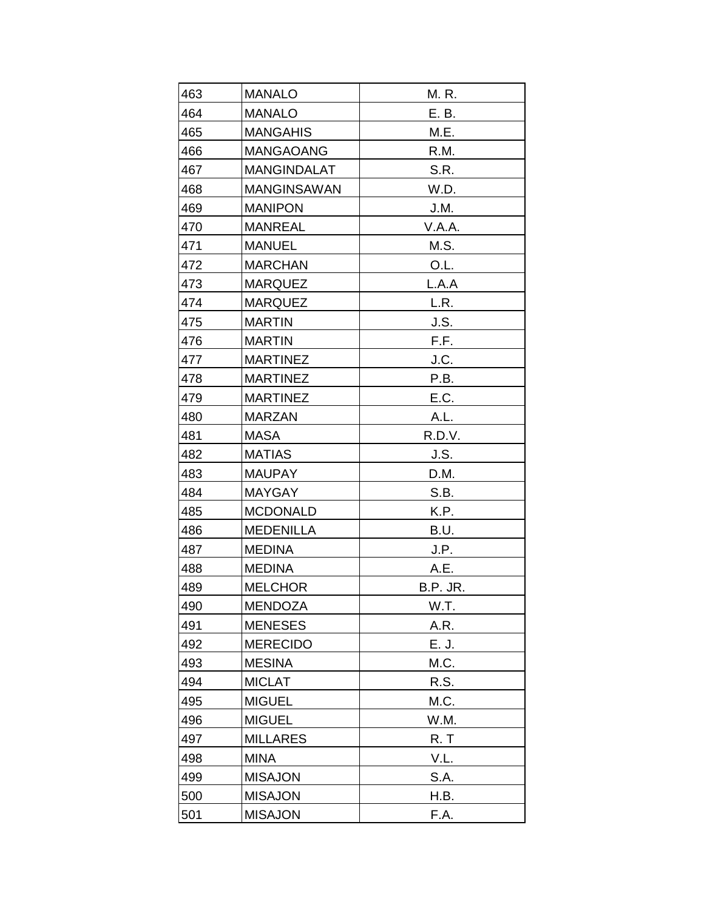| 463 | <b>MANALO</b>      | M. R.    |
|-----|--------------------|----------|
| 464 | <b>MANALO</b>      | E. B.    |
| 465 | <b>MANGAHIS</b>    | M.E.     |
| 466 | <b>MANGAOANG</b>   | R.M.     |
| 467 | <b>MANGINDALAT</b> | S.R.     |
| 468 | <b>MANGINSAWAN</b> | W.D.     |
| 469 | <b>MANIPON</b>     | J.M.     |
| 470 | <b>MANREAL</b>     | V.A.A.   |
| 471 | <b>MANUEL</b>      | M.S.     |
| 472 | <b>MARCHAN</b>     | O.L.     |
| 473 | <b>MARQUEZ</b>     | L.A.A    |
| 474 | <b>MARQUEZ</b>     | L.R.     |
| 475 | <b>MARTIN</b>      | J.S.     |
| 476 | <b>MARTIN</b>      | F.F.     |
| 477 | <b>MARTINEZ</b>    | J.C.     |
| 478 | <b>MARTINEZ</b>    | P.B.     |
| 479 | <b>MARTINEZ</b>    | E.C.     |
| 480 | <b>MARZAN</b>      | A.L.     |
| 481 | <b>MASA</b>        | R.D.V.   |
| 482 | <b>MATIAS</b>      | J.S.     |
| 483 | <b>MAUPAY</b>      | D.M.     |
| 484 | <b>MAYGAY</b>      | S.B.     |
| 485 | <b>MCDONALD</b>    | K.P.     |
| 486 | <b>MEDENILLA</b>   | B.U.     |
| 487 | <b>MEDINA</b>      | J.P.     |
| 488 | <b>MEDINA</b>      | A.E.     |
| 489 | <b>MELCHOR</b>     | B.P. JR. |
| 490 | <b>MENDOZA</b>     | W.T.     |
| 491 | <b>MENESES</b>     | A.R.     |
| 492 | <b>MERECIDO</b>    | E. J.    |
| 493 | <b>MESINA</b>      | M.C.     |
| 494 | <b>MICLAT</b>      | R.S.     |
| 495 | <b>MIGUEL</b>      | M.C.     |
| 496 | <b>MIGUEL</b>      | W.M.     |
| 497 | <b>MILLARES</b>    | R.T      |
| 498 | <b>MINA</b>        | V.L.     |
| 499 | <b>MISAJON</b>     | S.A.     |
| 500 | <b>MISAJON</b>     | H.B.     |
| 501 | <b>MISAJON</b>     | F.A.     |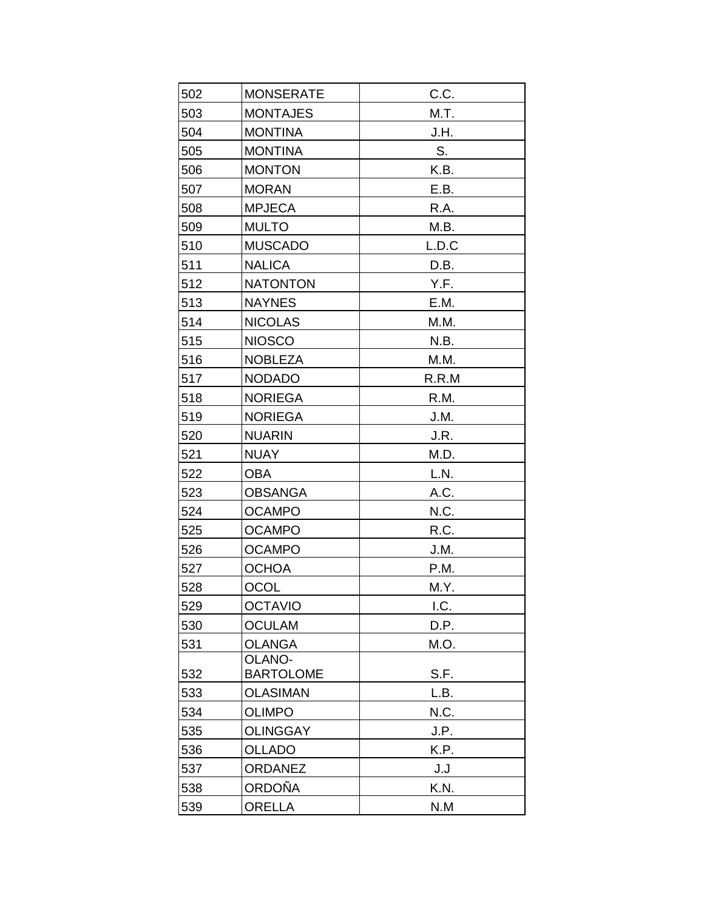| 502 | <b>MONSERATE</b>                    | C.C.         |
|-----|-------------------------------------|--------------|
| 503 | <b>MONTAJES</b>                     | M.T.         |
| 504 | <b>MONTINA</b>                      | J.H.         |
| 505 | <b>MONTINA</b>                      | S.           |
| 506 | <b>MONTON</b>                       | K.B.         |
| 507 | <b>MORAN</b>                        | E.B.         |
| 508 | <b>MPJECA</b>                       | R.A.         |
| 509 | <b>MULTO</b>                        | M.B.         |
| 510 | <b>MUSCADO</b>                      | L.D.C        |
| 511 | <b>NALICA</b>                       | D.B.         |
| 512 | <b>NATONTON</b>                     | Y.F.         |
| 513 | <b>NAYNES</b>                       | E.M.         |
| 514 | <b>NICOLAS</b>                      | M.M.         |
| 515 | <b>NIOSCO</b>                       | N.B.         |
| 516 | <b>NOBLEZA</b>                      | M.M.         |
| 517 | <b>NODADO</b>                       | R.R.M        |
| 518 | <b>NORIEGA</b>                      | R.M.         |
| 519 | <b>NORIEGA</b>                      | J.M.         |
| 520 | <b>NUARIN</b>                       | J.R.         |
| 521 | <b>NUAY</b>                         | M.D.         |
| 522 | <b>OBA</b>                          | L.N.         |
| 523 | <b>OBSANGA</b>                      | A.C.         |
| 524 | <b>OCAMPO</b>                       | N.C.         |
| 525 | <b>OCAMPO</b>                       | R.C.         |
| 526 | <b>OCAMPO</b>                       | J.M.         |
| 527 | <b>OCHOA</b>                        | P.M.         |
| 528 | <b>OCOL</b>                         | M.Y.         |
| 529 | <b>OCTAVIO</b>                      | I.C.         |
| 530 | <b>OCULAM</b>                       | D.P.         |
| 531 | <b>OLANGA</b>                       | M.O.         |
|     | <b>OLANO-</b>                       |              |
| 532 | <b>BARTOLOME</b><br><b>OLASIMAN</b> | S.F.<br>L.B. |
| 533 | <b>OLIMPO</b>                       |              |
| 534 | <b>OLINGGAY</b>                     | N.C.         |
| 535 | <b>OLLADO</b>                       | J.P.<br>K.P. |
| 536 | <b>ORDANEZ</b>                      |              |
| 537 | <b>ORDOÑA</b>                       | J.J          |
| 538 | <b>ORELLA</b>                       | K.N.         |
| 539 |                                     | N.M          |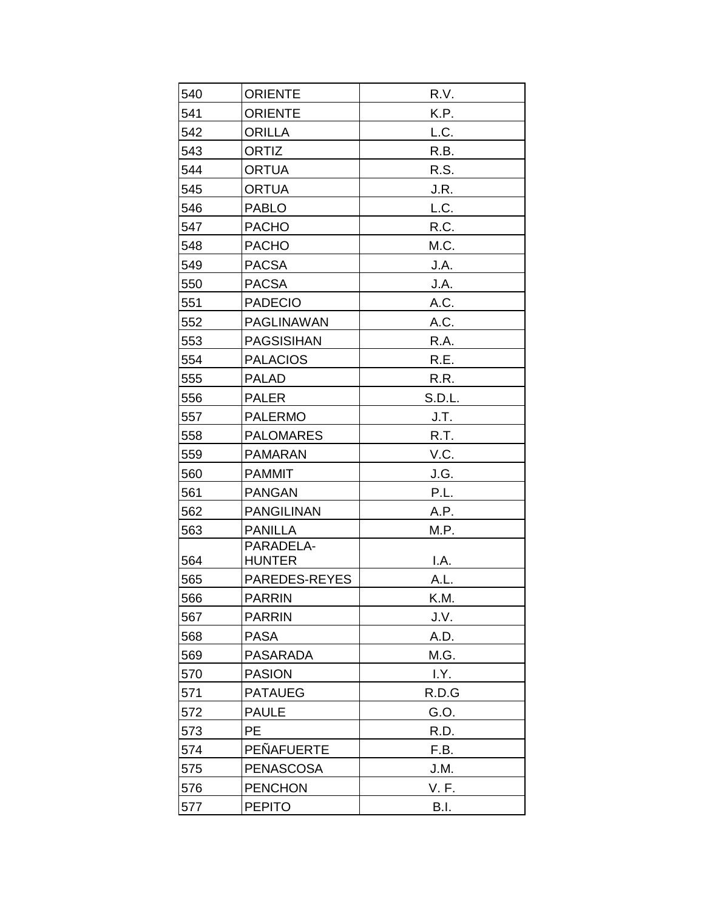| 540 | <b>ORIENTE</b>    | R.V.        |
|-----|-------------------|-------------|
| 541 | <b>ORIENTE</b>    | K.P.        |
| 542 | <b>ORILLA</b>     | L.C.        |
| 543 | <b>ORTIZ</b>      | R.B.        |
| 544 | <b>ORTUA</b>      | R.S.        |
| 545 | <b>ORTUA</b>      | J.R.        |
| 546 | <b>PABLO</b>      | L.C.        |
| 547 | <b>PACHO</b>      | R.C.        |
| 548 | <b>PACHO</b>      | M.C.        |
| 549 | <b>PACSA</b>      | J.A.        |
| 550 | <b>PACSA</b>      | J.A.        |
| 551 | <b>PADECIO</b>    | A.C.        |
| 552 | <b>PAGLINAWAN</b> | A.C.        |
| 553 | <b>PAGSISIHAN</b> | R.A.        |
| 554 | <b>PALACIOS</b>   | R.E.        |
| 555 | <b>PALAD</b>      | R.R.        |
| 556 | <b>PALER</b>      | S.D.L.      |
| 557 | <b>PALERMO</b>    | J.T.        |
| 558 | <b>PALOMARES</b>  | R.T.        |
| 559 | <b>PAMARAN</b>    | V.C.        |
| 560 | <b>PAMMIT</b>     | J.G.        |
| 561 | <b>PANGAN</b>     | P.L.        |
| 562 | <b>PANGILINAN</b> | A.P.        |
| 563 | <b>PANILLA</b>    | M.P.        |
|     | PARADELA-         |             |
| 564 | <b>HUNTER</b>     | I.A.        |
| 565 | PAREDES-REYES     | A.L.        |
| 566 | <b>PARRIN</b>     | K.M.        |
| 567 | <b>PARRIN</b>     | J.V.        |
| 568 | <b>PASA</b>       | A.D.        |
| 569 | <b>PASARADA</b>   | M.G.        |
| 570 | <b>PASION</b>     | I.Y.        |
| 571 | <b>PATAUEG</b>    | R.D.G       |
| 572 | <b>PAULE</b>      | G.O.        |
| 573 | PE                | R.D.        |
| 574 | PEÑAFUERTE        | F.B.        |
| 575 | <b>PENASCOSA</b>  | J.M.        |
| 576 | <b>PENCHON</b>    | V. F.       |
| 577 | <b>PEPITO</b>     | <b>B.I.</b> |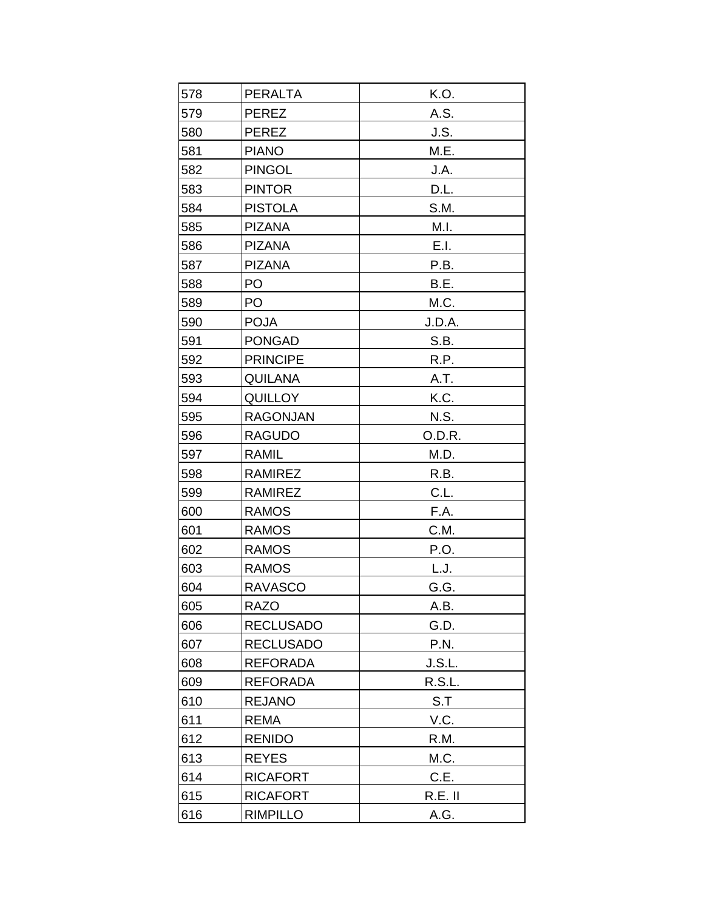| 578 | <b>PERALTA</b>   | K.O.      |
|-----|------------------|-----------|
| 579 | <b>PEREZ</b>     | A.S.      |
| 580 | <b>PEREZ</b>     | J.S.      |
| 581 | <b>PIANO</b>     | M.E.      |
| 582 | <b>PINGOL</b>    | J.A.      |
| 583 | <b>PINTOR</b>    | D.L.      |
| 584 | <b>PISTOLA</b>   | S.M.      |
| 585 | <b>PIZANA</b>    | M.I.      |
| 586 | <b>PIZANA</b>    | E.I.      |
| 587 | <b>PIZANA</b>    | P.B.      |
| 588 | PO               | B.E.      |
| 589 | PO               | M.C.      |
| 590 | <b>POJA</b>      | J.D.A.    |
| 591 | <b>PONGAD</b>    | S.B.      |
| 592 | <b>PRINCIPE</b>  | R.P.      |
| 593 | <b>QUILANA</b>   | A.T.      |
| 594 | <b>QUILLOY</b>   | K.C.      |
| 595 | <b>RAGONJAN</b>  | N.S.      |
| 596 | <b>RAGUDO</b>    | O.D.R.    |
| 597 | <b>RAMIL</b>     | M.D.      |
| 598 | <b>RAMIREZ</b>   | R.B.      |
| 599 | <b>RAMIREZ</b>   | C.L.      |
| 600 | <b>RAMOS</b>     | F.A.      |
| 601 | <b>RAMOS</b>     | C.M.      |
| 602 | <b>RAMOS</b>     | P.O.      |
| 603 | <b>RAMOS</b>     | L.J.      |
| 604 | <b>RAVASCO</b>   | G.G.      |
| 605 | <b>RAZO</b>      | A.B.      |
| 606 | <b>RECLUSADO</b> | G.D.      |
| 607 | <b>RECLUSADO</b> | P.N.      |
| 608 | <b>REFORADA</b>  | J.S.L.    |
| 609 | <b>REFORADA</b>  | R.S.L.    |
| 610 | <b>REJANO</b>    | S.T       |
| 611 | <b>REMA</b>      | V.C.      |
| 612 | <b>RENIDO</b>    | R.M.      |
| 613 | <b>REYES</b>     | M.C.      |
| 614 | <b>RICAFORT</b>  | C.E.      |
| 615 | <b>RICAFORT</b>  | $R.E.$ II |
| 616 | <b>RIMPILLO</b>  | A.G.      |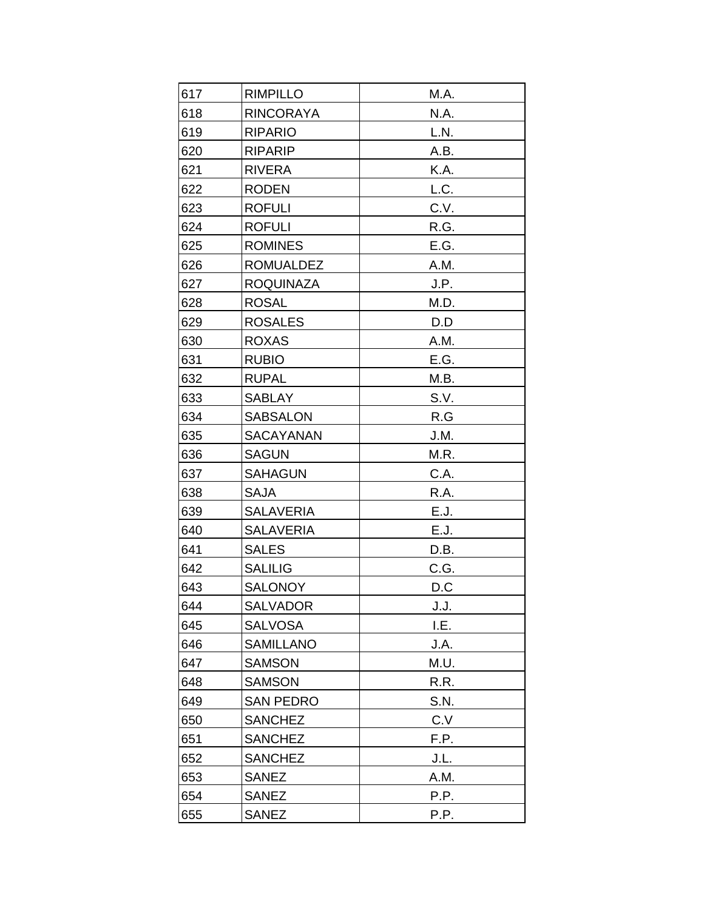| 617 | <b>RIMPILLO</b>  | M.A. |
|-----|------------------|------|
| 618 | <b>RINCORAYA</b> | N.A. |
| 619 | <b>RIPARIO</b>   | L.N. |
| 620 | <b>RIPARIP</b>   | A.B. |
| 621 | <b>RIVERA</b>    | K.A. |
| 622 | <b>RODEN</b>     | L.C. |
| 623 | <b>ROFULI</b>    | C.V. |
| 624 | <b>ROFULI</b>    | R.G. |
| 625 | <b>ROMINES</b>   | E.G. |
| 626 | <b>ROMUALDEZ</b> | A.M. |
| 627 | <b>ROQUINAZA</b> | J.P. |
| 628 | <b>ROSAL</b>     | M.D. |
| 629 | <b>ROSALES</b>   | D.D  |
| 630 | <b>ROXAS</b>     | A.M. |
| 631 | <b>RUBIO</b>     | E.G. |
| 632 | <b>RUPAL</b>     | M.B. |
| 633 | <b>SABLAY</b>    | S.V. |
| 634 | <b>SABSALON</b>  | R.G  |
| 635 | <b>SACAYANAN</b> | J.M. |
| 636 | <b>SAGUN</b>     | M.R. |
| 637 | <b>SAHAGUN</b>   | C.A. |
| 638 | SAJA             | R.A. |
| 639 | <b>SALAVERIA</b> | E.J. |
| 640 | <b>SALAVERIA</b> | E.J. |
| 641 | <b>SALES</b>     | D.B. |
| 642 | <b>SALILIG</b>   | C.G. |
| 643 | <b>SALONOY</b>   | D.C  |
| 644 | <b>SALVADOR</b>  | J.J. |
| 645 | <b>SALVOSA</b>   | I.E. |
| 646 | <b>SAMILLANO</b> | J.A. |
| 647 | <b>SAMSON</b>    | M.U. |
| 648 | <b>SAMSON</b>    | R.R. |
| 649 | <b>SAN PEDRO</b> | S.N. |
| 650 | <b>SANCHEZ</b>   | C.V  |
| 651 | <b>SANCHEZ</b>   | F.P. |
| 652 | <b>SANCHEZ</b>   | J.L. |
| 653 | <b>SANEZ</b>     | A.M. |
| 654 | <b>SANEZ</b>     | P.P. |
| 655 | <b>SANEZ</b>     | P.P. |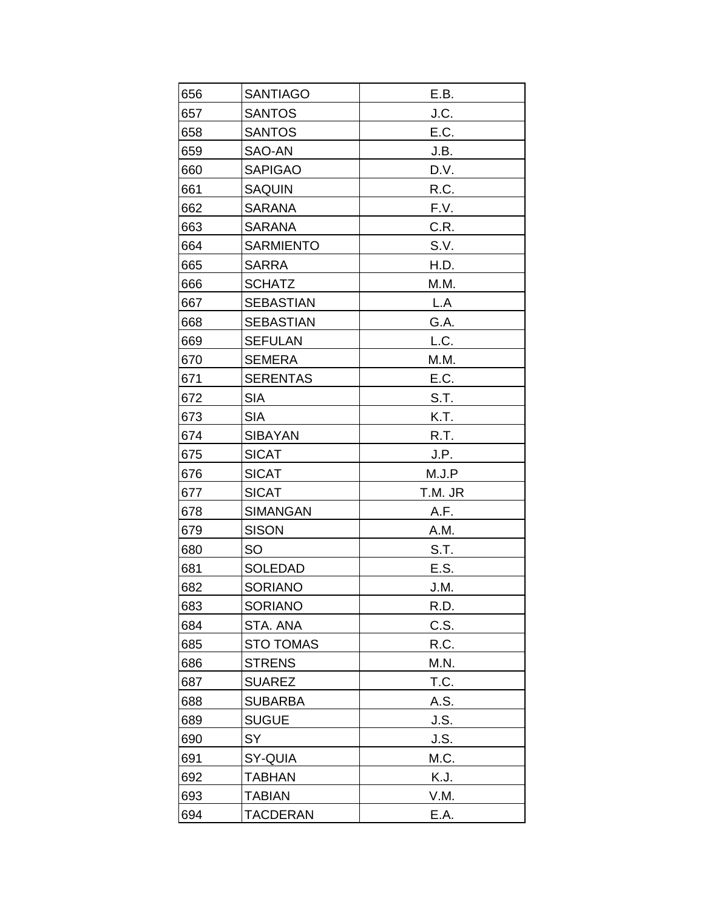| 656 | <b>SANTIAGO</b>  | E.B.    |
|-----|------------------|---------|
| 657 | <b>SANTOS</b>    | J.C.    |
| 658 | <b>SANTOS</b>    | E.C.    |
| 659 | SAO-AN           | J.B.    |
| 660 | <b>SAPIGAO</b>   | D.V.    |
| 661 | <b>SAQUIN</b>    | R.C.    |
| 662 | <b>SARANA</b>    | F.V.    |
| 663 | <b>SARANA</b>    | C.R.    |
| 664 | <b>SARMIENTO</b> | S.V.    |
| 665 | <b>SARRA</b>     | H.D.    |
| 666 | <b>SCHATZ</b>    | M.M.    |
| 667 | <b>SEBASTIAN</b> | L.A     |
| 668 | <b>SEBASTIAN</b> | G.A.    |
| 669 | <b>SEFULAN</b>   | L.C.    |
| 670 | <b>SEMERA</b>    | M.M.    |
| 671 | <b>SERENTAS</b>  | E.C.    |
| 672 | <b>SIA</b>       | S.T.    |
| 673 | <b>SIA</b>       | K.T.    |
| 674 | <b>SIBAYAN</b>   | R.T.    |
| 675 | <b>SICAT</b>     | J.P.    |
| 676 | <b>SICAT</b>     | M.J.P   |
| 677 | <b>SICAT</b>     | T.M. JR |
| 678 | <b>SIMANGAN</b>  | A.F.    |
| 679 | <b>SISON</b>     | A.M.    |
| 680 | SO               | S.T.    |
| 681 | <b>SOLEDAD</b>   | E.S.    |
| 682 | <b>SORIANO</b>   | J.M.    |
| 683 | <b>SORIANO</b>   | R.D.    |
| 684 | STA. ANA         | C.S.    |
| 685 | <b>STO TOMAS</b> | R.C.    |
| 686 | <b>STRENS</b>    | M.N.    |
| 687 | <b>SUAREZ</b>    | T.C.    |
| 688 | <b>SUBARBA</b>   | A.S.    |
| 689 | <b>SUGUE</b>     | J.S.    |
| 690 | SY               | J.S.    |
| 691 | SY-QUIA          | M.C.    |
| 692 | TABHAN           | K.J.    |
| 693 | <b>TABIAN</b>    | V.M.    |
| 694 | <b>TACDERAN</b>  | E.A.    |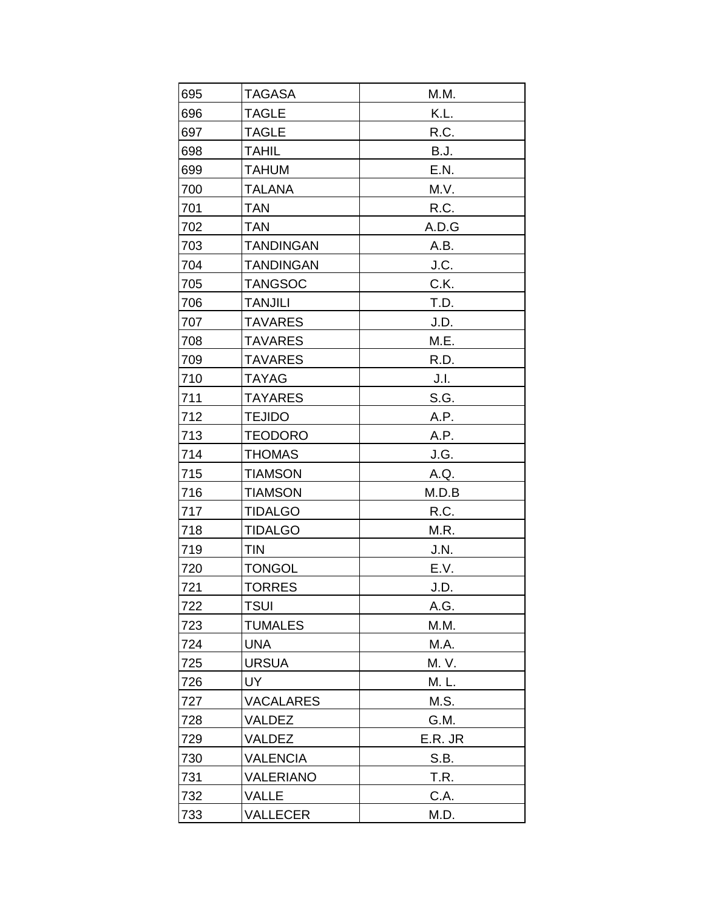| 695 | <b>TAGASA</b>    | M.M.        |
|-----|------------------|-------------|
| 696 | <b>TAGLE</b>     | K.L.        |
| 697 | <b>TAGLE</b>     | R.C.        |
| 698 | <b>TAHIL</b>     | <b>B.J.</b> |
| 699 | <b>TAHUM</b>     | E.N.        |
| 700 | <b>TALANA</b>    | M.V.        |
| 701 | <b>TAN</b>       | R.C.        |
| 702 | <b>TAN</b>       | A.D.G       |
| 703 | <b>TANDINGAN</b> | A.B.        |
| 704 | <b>TANDINGAN</b> | J.C.        |
| 705 | <b>TANGSOC</b>   | C.K.        |
| 706 | <b>TANJILI</b>   | T.D.        |
| 707 | <b>TAVARES</b>   | J.D.        |
| 708 | <b>TAVARES</b>   | M.E.        |
| 709 | <b>TAVARES</b>   | R.D.        |
| 710 | <b>TAYAG</b>     | J.I.        |
| 711 | <b>TAYARES</b>   | S.G.        |
| 712 | <b>TEJIDO</b>    | A.P.        |
| 713 | <b>TEODORO</b>   | A.P.        |
| 714 | <b>THOMAS</b>    | J.G.        |
| 715 | <b>TIAMSON</b>   | A.Q.        |
| 716 | <b>TIAMSON</b>   | M.D.B       |
| 717 | <b>TIDALGO</b>   | R.C.        |
| 718 | <b>TIDALGO</b>   | M.R.        |
| 719 | <b>TIN</b>       | J.N.        |
| 720 | <b>TONGOL</b>    | E.V.        |
| 721 | <b>TORRES</b>    | J.D.        |
| 722 | TSUI             | A.G.        |
| 723 | <b>TUMALES</b>   | M.M.        |
| 724 | <b>UNA</b>       | M.A.        |
| 725 | <b>URSUA</b>     | M. V.       |
| 726 | UY               | M. L.       |
| 727 | <b>VACALARES</b> | M.S.        |
| 728 | VALDEZ           | G.M.        |
| 729 | VALDEZ           | E.R. JR     |
| 730 | <b>VALENCIA</b>  | S.B.        |
| 731 | <b>VALERIANO</b> | T.R.        |
| 732 | VALLE            | C.A.        |
| 733 | VALLECER         | M.D.        |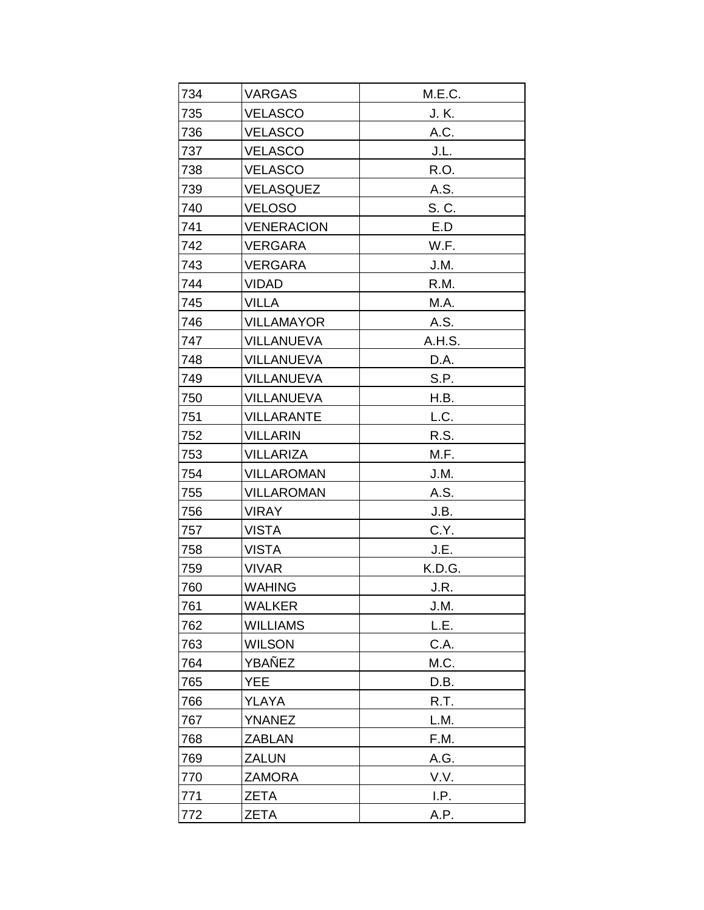| 734 | <b>VARGAS</b>     | M.E.C. |
|-----|-------------------|--------|
| 735 | <b>VELASCO</b>    | J. K.  |
| 736 | <b>VELASCO</b>    | A.C.   |
| 737 | <b>VELASCO</b>    | J.L.   |
| 738 | <b>VELASCO</b>    | R.O.   |
| 739 | <b>VELASQUEZ</b>  | A.S.   |
| 740 | <b>VELOSO</b>     | S. C.  |
| 741 | <b>VENERACION</b> | E.D    |
| 742 | <b>VERGARA</b>    | W.F.   |
| 743 | <b>VERGARA</b>    | J.M.   |
| 744 | <b>VIDAD</b>      | R.M.   |
| 745 | <b>VILLA</b>      | M.A.   |
| 746 | <b>VILLAMAYOR</b> | A.S.   |
| 747 | <b>VILLANUEVA</b> | A.H.S. |
| 748 | <b>VILLANUEVA</b> | D.A.   |
| 749 | <b>VILLANUEVA</b> | S.P.   |
| 750 | <b>VILLANUEVA</b> | H.B.   |
| 751 | <b>VILLARANTE</b> | L.C.   |
| 752 | <b>VILLARIN</b>   | R.S.   |
| 753 | <b>VILLARIZA</b>  | M.F.   |
| 754 | <b>VILLAROMAN</b> | J.M.   |
| 755 | <b>VILLAROMAN</b> | A.S.   |
| 756 | <b>VIRAY</b>      | J.B.   |
| 757 | <b>VISTA</b>      | C.Y.   |
| 758 | <b>VISTA</b>      | J.E.   |
| 759 | <b>VIVAR</b>      | K.D.G. |
| 760 | <b>WAHING</b>     | J.R.   |
| 761 | <b>WALKER</b>     | J.M.   |
| 762 | <b>WILLIAMS</b>   | L.E.   |
| 763 | <b>WILSON</b>     | C.A.   |
| 764 | YBAÑEZ            | M.C.   |
| 765 | <b>YEE</b>        | D.B.   |
| 766 | YLAYA             | R.T.   |
| 767 | <b>YNANEZ</b>     | L.M.   |
| 768 | <b>ZABLAN</b>     | F.M.   |
| 769 | <b>ZALUN</b>      | A.G.   |
| 770 | <b>ZAMORA</b>     | V.V.   |
| 771 | <b>ZETA</b>       | I.P.   |
| 772 | <b>ZETA</b>       | A.P.   |